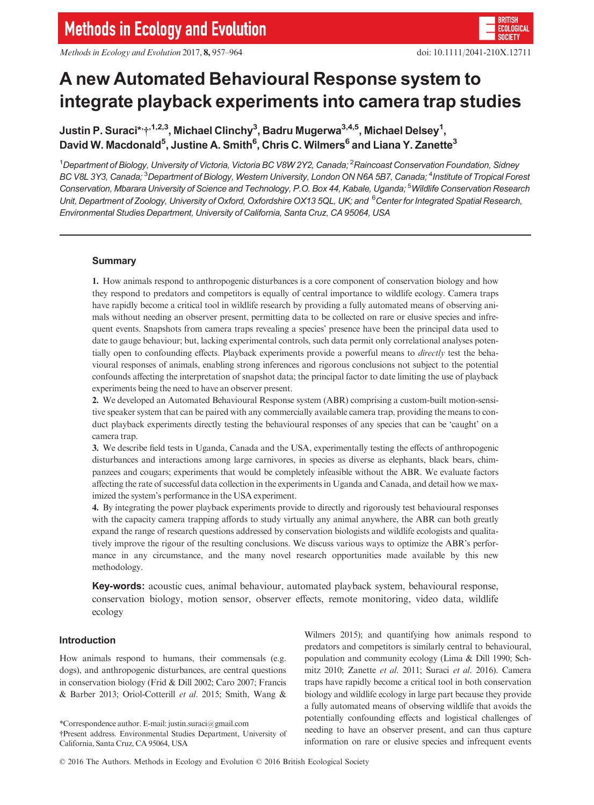Methods in Ecology and Evolution 2017, 8, 957–964 doi: 10.1111/2041-210X.12711

# A new Automated Behavioural Response system to integrate playback experiments into camera trap studies

Justin P. Suraci\* $\cdot\uparrow^{,1,2,3},$  Michael Clinchy $^3$ , Badru Mugerwa $^{3,4,5},$  Michael Delsey $^1,$ David W. Macdonald<sup>5</sup>, Justine A. Smith<sup>6</sup>, Chris C. Wilmers<sup>6</sup> and Liana Y. Zanette<sup>3</sup>

<sup>1</sup>Department of Biology, University of Victoria, Victoria BC V8W 2Y2, Canada; <sup>2</sup>Raincoast Conservation Foundation, Sidney BC V8L 3Y3, Canada; <sup>3</sup>Department of Biology, Western University, London ON N6A 5B7, Canada; <sup>4</sup>Institute of Tropical Forest Conservation, Mbarara University of Science and Technology, P.O. Box 44, Kabale, Uganda; <sup>5</sup>Wildlife Conservation Research Unit, Department of Zoology, University of Oxford, Oxfordshire OX13 5QL, UK; and <sup>6</sup>Center for Integrated Spatial Research, Environmental Studies Department, University of California, Santa Cruz, CA 95064, USA

# **Summary**

1. How animals respond to anthropogenic disturbances is a core component of conservation biology and how they respond to predators and competitors is equally of central importance to wildlife ecology. Camera traps have rapidly become a critical tool in wildlife research by providing a fully automated means of observing animals without needing an observer present, permitting data to be collected on rare or elusive species and infrequent events. Snapshots from camera traps revealing a species' presence have been the principal data used to date to gauge behaviour; but, lacking experimental controls, such data permit only correlational analyses potentially open to confounding effects. Playback experiments provide a powerful means to directly test the behavioural responses of animals, enabling strong inferences and rigorous conclusions not subject to the potential confounds affecting the interpretation of snapshot data; the principal factor to date limiting the use of playback experiments being the need to have an observer present.

2. We developed an Automated Behavioural Response system (ABR) comprising a custom-built motion-sensitive speaker system that can be paired with any commercially available camera trap, providing the means to conduct playback experiments directly testing the behavioural responses of any species that can be 'caught' on a camera trap.

3. We describe field tests in Uganda, Canada and the USA, experimentally testing the effects of anthropogenic disturbances and interactions among large carnivores, in species as diverse as elephants, black bears, chimpanzees and cougars; experiments that would be completely infeasible without the ABR. We evaluate factors affecting the rate of successful data collection in the experiments in Uganda and Canada, and detail how we maximized the system's performance in the USA experiment.

4. By integrating the power playback experiments provide to directly and rigorously test behavioural responses with the capacity camera trapping affords to study virtually any animal anywhere, the ABR can both greatly expand the range of research questions addressed by conservation biologists and wildlife ecologists and qualitatively improve the rigour of the resulting conclusions. We discuss various ways to optimize the ABR's performance in any circumstance, and the many novel research opportunities made available by this new methodology.

Key-words: acoustic cues, animal behaviour, automated playback system, behavioural response, conservation biology, motion sensor, observer effects, remote monitoring, video data, wildlife ecology

# Introduction

How animals respond to humans, their commensals (e.g. dogs), and anthropogenic disturbances, are central questions in conservation biology (Frid & Dill 2002; Caro 2007; Francis & Barber 2013; Oriol-Cotterill et al. 2015; Smith, Wang &

\*Correspondence author. E-mail: justin.suraci@gmail.com †Present address. Environmental Studies Department, University of California, Santa Cruz, CA 95064, USA

Wilmers 2015); and quantifying how animals respond to predators and competitors is similarly central to behavioural, population and community ecology (Lima & Dill 1990; Schmitz 2010; Zanette et al. 2011; Suraci et al. 2016). Camera traps have rapidly become a critical tool in both conservation biology and wildlife ecology in large part because they provide a fully automated means of observing wildlife that avoids the potentially confounding effects and logistical challenges of needing to have an observer present, and can thus capture information on rare or elusive species and infrequent events

© 2016 The Authors. Methods in Ecology and Evolution © 2016 British Ecological Society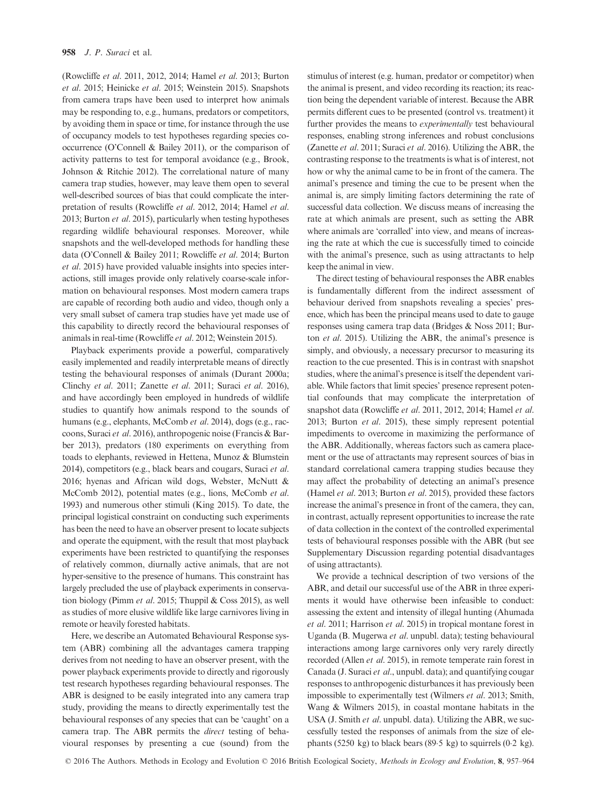(Rowcliffe et al. 2011, 2012, 2014; Hamel et al. 2013; Burton et al. 2015; Heinicke et al. 2015; Weinstein 2015). Snapshots from camera traps have been used to interpret how animals may be responding to, e.g., humans, predators or competitors, by avoiding them in space or time, for instance through the use of occupancy models to test hypotheses regarding species cooccurrence (O'Connell & Bailey 2011), or the comparison of activity patterns to test for temporal avoidance (e.g., Brook, Johnson & Ritchie 2012). The correlational nature of many camera trap studies, however, may leave them open to several well-described sources of bias that could complicate the interpretation of results (Rowcliffe et al. 2012, 2014; Hamel et al. 2013; Burton et al. 2015), particularly when testing hypotheses regarding wildlife behavioural responses. Moreover, while snapshots and the well-developed methods for handling these data (O'Connell & Bailey 2011; Rowcliffe et al. 2014; Burton et al. 2015) have provided valuable insights into species interactions, still images provide only relatively coarse-scale information on behavioural responses. Most modern camera traps are capable of recording both audio and video, though only a very small subset of camera trap studies have yet made use of this capability to directly record the behavioural responses of animals in real-time (Rowcliffe et al. 2012; Weinstein 2015).

Playback experiments provide a powerful, comparatively easily implemented and readily interpretable means of directly testing the behavioural responses of animals (Durant 2000a; Clinchy et al. 2011; Zanette et al. 2011; Suraci et al. 2016), and have accordingly been employed in hundreds of wildlife studies to quantify how animals respond to the sounds of humans (e.g., elephants, McComb et al. 2014), dogs (e.g., raccoons, Suraci et al. 2016), anthropogenic noise (Francis & Barber 2013), predators (180 experiments on everything from toads to elephants, reviewed in Hettena, Munoz & Blumstein 2014), competitors (e.g., black bears and cougars, Suraci et al. 2016; hyenas and African wild dogs, Webster, McNutt & McComb 2012), potential mates (e.g., lions, McComb et al. 1993) and numerous other stimuli (King 2015). To date, the principal logistical constraint on conducting such experiments has been the need to have an observer present to locate subjects and operate the equipment, with the result that most playback experiments have been restricted to quantifying the responses of relatively common, diurnally active animals, that are not hyper-sensitive to the presence of humans. This constraint has largely precluded the use of playback experiments in conservation biology (Pimm et al. 2015; Thuppil & Coss 2015), as well as studies of more elusive wildlife like large carnivores living in remote or heavily forested habitats.

Here, we describe an Automated Behavioural Response system (ABR) combining all the advantages camera trapping derives from not needing to have an observer present, with the power playback experiments provide to directly and rigorously test research hypotheses regarding behavioural responses. The ABR is designed to be easily integrated into any camera trap study, providing the means to directly experimentally test the behavioural responses of any species that can be 'caught' on a camera trap. The ABR permits the direct testing of behavioural responses by presenting a cue (sound) from the stimulus of interest (e.g. human, predator or competitor) when the animal is present, and video recording its reaction; its reaction being the dependent variable of interest. Because the ABR permits different cues to be presented (control vs. treatment) it further provides the means to experimentally test behavioural responses, enabling strong inferences and robust conclusions (Zanette et al. 2011; Suraci et al. 2016). Utilizing the ABR, the contrasting response to the treatments is what is of interest, not how or why the animal came to be in front of the camera. The animal's presence and timing the cue to be present when the animal is, are simply limiting factors determining the rate of successful data collection. We discuss means of increasing the rate at which animals are present, such as setting the ABR where animals are 'corralled' into view, and means of increasing the rate at which the cue is successfully timed to coincide with the animal's presence, such as using attractants to help keep the animal in view.

The direct testing of behavioural responses the ABR enables is fundamentally different from the indirect assessment of behaviour derived from snapshots revealing a species' presence, which has been the principal means used to date to gauge responses using camera trap data (Bridges & Noss 2011; Burton et al. 2015). Utilizing the ABR, the animal's presence is simply, and obviously, a necessary precursor to measuring its reaction to the cue presented. This is in contrast with snapshot studies, where the animal's presence is itself the dependent variable. While factors that limit species' presence represent potential confounds that may complicate the interpretation of snapshot data (Rowcliffe et al. 2011, 2012, 2014; Hamel et al. 2013; Burton et al. 2015), these simply represent potential impediments to overcome in maximizing the performance of the ABR. Additionally, whereas factors such as camera placement or the use of attractants may represent sources of bias in standard correlational camera trapping studies because they may affect the probability of detecting an animal's presence (Hamel et al. 2013; Burton et al. 2015), provided these factors increase the animal's presence in front of the camera, they can, in contrast, actually represent opportunities to increase the rate of data collection in the context of the controlled experimental tests of behavioural responses possible with the ABR (but see Supplementary Discussion regarding potential disadvantages of using attractants).

We provide a technical description of two versions of the ABR, and detail our successful use of the ABR in three experiments it would have otherwise been infeasible to conduct: assessing the extent and intensity of illegal hunting (Ahumada et al. 2011; Harrison et al. 2015) in tropical montane forest in Uganda (B. Mugerwa et al. unpubl. data); testing behavioural interactions among large carnivores only very rarely directly recorded (Allen et al. 2015), in remote temperate rain forest in Canada (J. Suraci et al., unpubl. data); and quantifying cougar responses to anthropogenic disturbances it has previously been impossible to experimentally test (Wilmers et al. 2013; Smith, Wang & Wilmers 2015), in coastal montane habitats in the USA (J. Smith et al. unpubl. data). Utilizing the ABR, we successfully tested the responses of animals from the size of elephants (5250 kg) to black bears (89.5 kg) to squirrels (0.2 kg).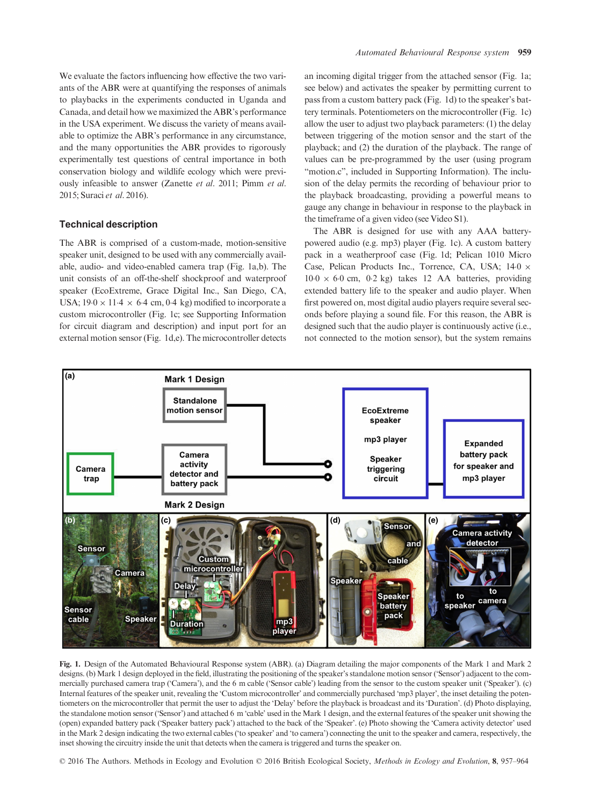We evaluate the factors influencing how effective the two variants of the ABR were at quantifying the responses of animals to playbacks in the experiments conducted in Uganda and Canada, and detail how we maximized the ABR's performance in the USA experiment. We discuss the variety of means available to optimize the ABR's performance in any circumstance, and the many opportunities the ABR provides to rigorously experimentally test questions of central importance in both conservation biology and wildlife ecology which were previously infeasible to answer (Zanette et al. 2011; Pimm et al. 2015; Suraci et al. 2016).

## Technical description

The ABR is comprised of a custom-made, motion-sensitive speaker unit, designed to be used with any commercially available, audio- and video-enabled camera trap (Fig. 1a,b). The unit consists of an off-the-shelf shockproof and waterproof speaker (EcoExtreme, Grace Digital Inc., San Diego, CA, USA;  $19.0 \times 11.4 \times 6.4$  cm, 0.4 kg) modified to incorporate a custom microcontroller (Fig. 1c; see Supporting Information for circuit diagram and description) and input port for an external motion sensor (Fig. 1d,e). The microcontroller detects an incoming digital trigger from the attached sensor (Fig. 1a; see below) and activates the speaker by permitting current to pass from a custom battery pack (Fig. 1d) to the speaker's battery terminals. Potentiometers on the microcontroller (Fig. 1c) allow the user to adjust two playback parameters: (1) the delay between triggering of the motion sensor and the start of the playback; and (2) the duration of the playback. The range of values can be pre-programmed by the user (using program "motion.c", included in Supporting Information). The inclusion of the delay permits the recording of behaviour prior to the playback broadcasting, providing a powerful means to gauge any change in behaviour in response to the playback in the timeframe of a given video (see Video S1).

The ABR is designed for use with any AAA batterypowered audio (e.g. mp3) player (Fig. 1c). A custom battery pack in a weatherproof case (Fig. 1d; Pelican 1010 Micro Case, Pelican Products Inc., Torrence, CA, USA;  $14.0 \times$  $10.0 \times 6.0$  cm,  $0.2$  kg) takes 12 AA batteries, providing extended battery life to the speaker and audio player. When first powered on, most digital audio players require several seconds before playing a sound file. For this reason, the ABR is designed such that the audio player is continuously active (i.e., not connected to the motion sensor), but the system remains



Fig. 1. Design of the Automated Behavioural Response system (ABR). (a) Diagram detailing the major components of the Mark 1 and Mark 2 designs. (b) Mark 1 design deployed in the field, illustrating the positioning of the speaker's standalone motion sensor ('Sensor') adjacent to the commercially purchased camera trap ('Camera'), and the 6 m cable ('Sensor cable') leading from the sensor to the custom speaker unit ('Speaker'). (c) Internal features of the speaker unit, revealing the 'Custom microcontroller' and commercially purchased 'mp3 player', the inset detailing the potentiometers on the microcontroller that permit the user to adjust the 'Delay' before the playback is broadcast and its 'Duration'. (d) Photo displaying, the standalone motion sensor ('Sensor') and attached 6 m 'cable' used in the Mark 1 design, and the external features of the speaker unit showing the (open) expanded battery pack ('Speaker battery pack') attached to the back of the 'Speaker'. (e) Photo showing the 'Camera activity detector' used in the Mark 2 design indicating the two external cables ('to speaker' and 'to camera') connecting the unit to the speaker and camera, respectively, the inset showing the circuitry inside the unit that detects when the camera is triggered and turns the speaker on.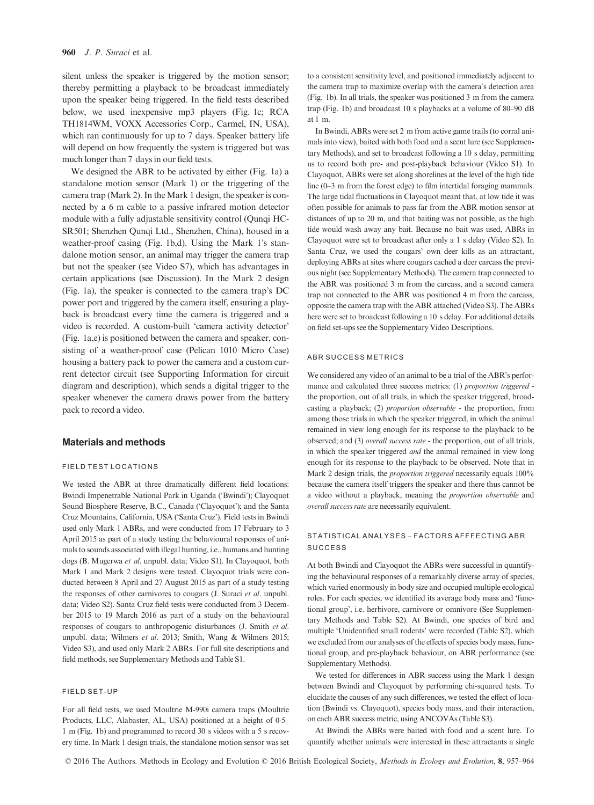silent unless the speaker is triggered by the motion sensor; thereby permitting a playback to be broadcast immediately upon the speaker being triggered. In the field tests described below, we used inexpensive mp3 players (Fig. 1c; RCA TH1814WM, VOXX Accessories Corp., Carmel, IN, USA), which ran continuously for up to 7 days. Speaker battery life will depend on how frequently the system is triggered but was much longer than 7 days in our field tests.

We designed the ABR to be activated by either (Fig. 1a) a standalone motion sensor (Mark 1) or the triggering of the camera trap (Mark 2). In the Mark 1 design, the speaker is connected by a 6 m cable to a passive infrared motion detector module with a fully adjustable sensitivity control (Qunqi HC-SR501; Shenzhen Qunqi Ltd., Shenzhen, China), housed in a weather-proof casing (Fig. 1b,d). Using the Mark 1's standalone motion sensor, an animal may trigger the camera trap but not the speaker (see Video S7), which has advantages in certain applications (see Discussion). In the Mark 2 design (Fig. 1a), the speaker is connected to the camera trap's DC power port and triggered by the camera itself, ensuring a playback is broadcast every time the camera is triggered and a video is recorded. A custom-built 'camera activity detector' (Fig. 1a,e) is positioned between the camera and speaker, consisting of a weather-proof case (Pelican 1010 Micro Case) housing a battery pack to power the camera and a custom current detector circuit (see Supporting Information for circuit diagram and description), which sends a digital trigger to the speaker whenever the camera draws power from the battery pack to record a video.

## Materials and methods

# FIELD TEST LOCATIONS

We tested the ABR at three dramatically different field locations: Bwindi Impenetrable National Park in Uganda ('Bwindi'); Clayoquot Sound Biosphere Reserve, B.C., Canada ('Clayoquot'); and the Santa Cruz Mountains, California, USA ('Santa Cruz'). Field tests in Bwindi used only Mark 1 ABRs, and were conducted from 17 February to 3 April 2015 as part of a study testing the behavioural responses of animals to sounds associated with illegal hunting, i.e., humans and hunting dogs (B. Mugerwa et al. unpubl. data; Video S1). In Clayoquot, both Mark 1 and Mark 2 designs were tested. Clayoquot trials were conducted between 8 April and 27 August 2015 as part of a study testing the responses of other carnivores to cougars (J. Suraci et al. unpubl. data; Video S2). Santa Cruz field tests were conducted from 3 December 2015 to 19 March 2016 as part of a study on the behavioural responses of cougars to anthropogenic disturbances (J. Smith et al. unpubl. data; Wilmers et al. 2013; Smith, Wang & Wilmers 2015; Video S3), and used only Mark 2 ABRs. For full site descriptions and field methods, see Supplementary Methods and Table S1.

#### FIELD SET-UP

For all field tests, we used Moultrie M-990i camera traps (Moultrie Products, LLC, Alabaster, AL, USA) positioned at a height of 0.5– 1 m (Fig. 1b) and programmed to record 30 s videos with a 5 s recovery time. In Mark 1 design trials, the standalone motion sensor was set to a consistent sensitivity level, and positioned immediately adjacent to the camera trap to maximize overlap with the camera's detection area (Fig. 1b). In all trials, the speaker was positioned 3 m from the camera trap (Fig. 1b) and broadcast 10 s playbacks at a volume of 80–90 dB at 1 m.

In Bwindi, ABRs were set 2 m from active game trails (to corral animals into view), baited with both food and a scent lure (see Supplementary Methods), and set to broadcast following a 10 s delay, permitting us to record both pre- and post-playback behaviour (Video S1). In Clayoquot, ABRs were set along shorelines at the level of the high tide line (0–3 m from the forest edge) to film intertidal foraging mammals. The large tidal fluctuations in Clayoquot meant that, at low tide it was often possible for animals to pass far from the ABR motion sensor at distances of up to 20 m, and that baiting was not possible, as the high tide would wash away any bait. Because no bait was used, ABRs in Clayoquot were set to broadcast after only a 1 s delay (Video S2). In Santa Cruz, we used the cougars' own deer kills as an attractant, deploying ABRs at sites where cougars cached a deer carcass the previous night (see Supplementary Methods). The camera trap connected to the ABR was positioned 3 m from the carcass, and a second camera trap not connected to the ABR was positioned 4 m from the carcass, opposite the camera trap with the ABR attached (Video S3). The ABRs here were set to broadcast following a 10 s delay. For additional details on field set-ups see the Supplementary Video Descriptions.

## ABR SUCCESS METRICS

We considered any video of an animal to be a trial of the ABR's performance and calculated three success metrics: (1) proportion triggered the proportion, out of all trials, in which the speaker triggered, broadcasting a playback; (2) proportion observable - the proportion, from among those trials in which the speaker triggered, in which the animal remained in view long enough for its response to the playback to be observed; and (3) overall success rate - the proportion, out of all trials, in which the speaker triggered and the animal remained in view long enough for its response to the playback to be observed. Note that in Mark 2 design trials, the proportion triggered necessarily equals 100% because the camera itself triggers the speaker and there thus cannot be a video without a playback, meaning the proportion observable and overall success rate are necessarily equivalent.

# STATISTICAL ANALYSES – FACTORS AFFFECTING ABR **SUCCESS**

At both Bwindi and Clayoquot the ABRs were successful in quantifying the behavioural responses of a remarkably diverse array of species, which varied enormously in body size and occupied multiple ecological roles. For each species, we identified its average body mass and 'functional group', i.e. herbivore, carnivore or omnivore (See Supplementary Methods and Table S2). At Bwindi, one species of bird and multiple 'Unidentified small rodents' were recorded (Table S2), which we excluded from our analyses of the effects of species body mass, functional group, and pre-playback behaviour, on ABR performance (see Supplementary Methods).

We tested for differences in ABR success using the Mark 1 design between Bwindi and Clayoquot by performing chi-squared tests. To elucidate the causes of any such differences, we tested the effect of location (Bwindi vs. Clayoquot), species body mass, and their interaction, on each ABR success metric, using ANCOVAs (Table S3).

At Bwindi the ABRs were baited with food and a scent lure. To quantify whether animals were interested in these attractants a single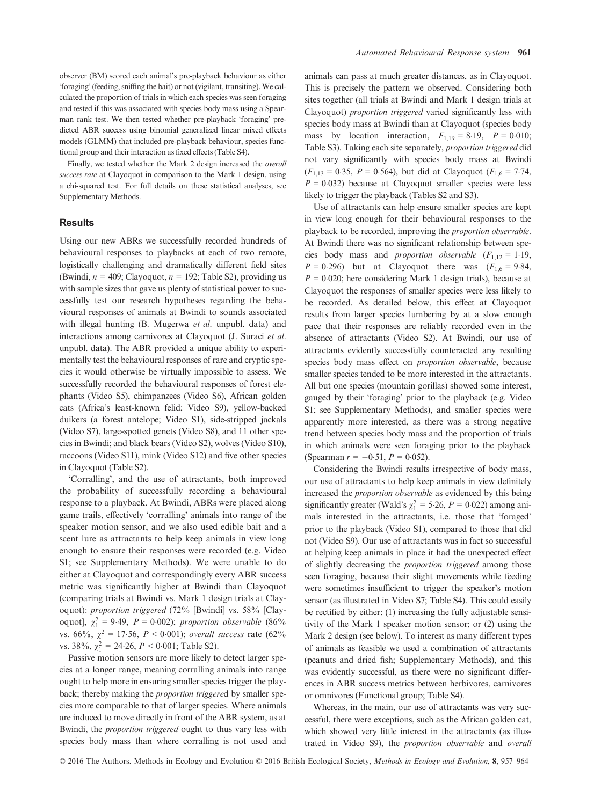observer (BM) scored each animal's pre-playback behaviour as either 'foraging' (feeding, sniffing the bait) or not (vigilant, transiting).We calculated the proportion of trials in which each species was seen foraging and tested if this was associated with species body mass using a Spearman rank test. We then tested whether pre-playback 'foraging' predicted ABR success using binomial generalized linear mixed effects models (GLMM) that included pre-playback behaviour, species functional group and their interaction as fixed effects (Table S4).

Finally, we tested whether the Mark 2 design increased the overall success rate at Clayoquot in comparison to the Mark 1 design, using a chi-squared test. For full details on these statistical analyses, see Supplementary Methods.

# **Results**

Using our new ABRs we successfully recorded hundreds of behavioural responses to playbacks at each of two remote, logistically challenging and dramatically different field sites (Bwindi,  $n = 409$ ; Clayoquot,  $n = 192$ ; Table S2), providing us with sample sizes that gave us plenty of statistical power to successfully test our research hypotheses regarding the behavioural responses of animals at Bwindi to sounds associated with illegal hunting (B. Mugerwa et al. unpubl. data) and interactions among carnivores at Clayoquot (J. Suraci et al. unpubl. data). The ABR provided a unique ability to experimentally test the behavioural responses of rare and cryptic species it would otherwise be virtually impossible to assess. We successfully recorded the behavioural responses of forest elephants (Video S5), chimpanzees (Video S6), African golden cats (Africa's least-known felid; Video S9), yellow-backed duikers (a forest antelope; Video S1), side-stripped jackals (Video S7), large-spotted genets (Video S8), and 11 other species in Bwindi; and black bears (Video S2), wolves (Video S10), raccoons (Video S11), mink (Video S12) and five other species in Clayoquot (Table S2).

'Corralling', and the use of attractants, both improved the probability of successfully recording a behavioural response to a playback. At Bwindi, ABRs were placed along game trails, effectively 'corralling' animals into range of the speaker motion sensor, and we also used edible bait and a scent lure as attractants to help keep animals in view long enough to ensure their responses were recorded (e.g. Video S1; see Supplementary Methods). We were unable to do either at Clayoquot and correspondingly every ABR success metric was significantly higher at Bwindi than Clayoquot (comparing trials at Bwindi vs. Mark 1 design trials at Clayoquot): proportion triggered (72% [Bwindi] vs. 58% [Clayoquot],  $\chi_1^2 = 9.49$ ,  $P = 0.002$ ); proportion observable (86%) vs. 66%,  $\chi_1^2 = 17.56, P < 0.001$ ); overall success rate (62% vs. 38%,  $\chi_1^2 = 24.26$ ,  $P < 0.001$ ; Table S2).

Passive motion sensors are more likely to detect larger species at a longer range, meaning corralling animals into range ought to help more in ensuring smaller species trigger the playback; thereby making the *proportion triggered* by smaller species more comparable to that of larger species. Where animals are induced to move directly in front of the ABR system, as at Bwindi, the proportion triggered ought to thus vary less with species body mass than where corralling is not used and

animals can pass at much greater distances, as in Clayoquot. This is precisely the pattern we observed. Considering both sites together (all trials at Bwindi and Mark 1 design trials at Clayoquot) proportion triggered varied significantly less with species body mass at Bwindi than at Clayoquot (species body mass by location interaction,  $F_{1,19} = 8.19$ ,  $P = 0.010$ ; Table S3). Taking each site separately, proportion triggered did not vary significantly with species body mass at Bwindi  $(F_{1,13} = 0.35, P = 0.564)$ , but did at Clayoquot  $(F_{1,6} = 7.74,$  $P = 0.032$ ) because at Clayoquot smaller species were less likely to trigger the playback (Tables S2 and S3).

Use of attractants can help ensure smaller species are kept in view long enough for their behavioural responses to the playback to be recorded, improving the proportion observable. At Bwindi there was no significant relationship between species body mass and *proportion observable*  $(F_{1,12} = 1.19)$ ,  $P = 0.296$ ) but at Clayoquot there was  $(F_{1,6} = 9.84,$  $P = 0.020$ ; here considering Mark 1 design trials), because at Clayoquot the responses of smaller species were less likely to be recorded. As detailed below, this effect at Clayoquot results from larger species lumbering by at a slow enough pace that their responses are reliably recorded even in the absence of attractants (Video S2). At Bwindi, our use of attractants evidently successfully counteracted any resulting species body mass effect on proportion observable, because smaller species tended to be more interested in the attractants. All but one species (mountain gorillas) showed some interest, gauged by their 'foraging' prior to the playback (e.g. Video S1; see Supplementary Methods), and smaller species were apparently more interested, as there was a strong negative trend between species body mass and the proportion of trials in which animals were seen foraging prior to the playback (Spearman  $r = -0.51$ ,  $P = 0.052$ ).

Considering the Bwindi results irrespective of body mass, our use of attractants to help keep animals in view definitely increased the proportion observable as evidenced by this being significantly greater (Wald's  $\chi_1^2 = 5.26$ ,  $P = 0.022$ ) among animals interested in the attractants, i.e. those that 'foraged' prior to the playback (Video S1), compared to those that did not (Video S9). Our use of attractants was in fact so successful at helping keep animals in place it had the unexpected effect of slightly decreasing the proportion triggered among those seen foraging, because their slight movements while feeding were sometimes insufficient to trigger the speaker's motion sensor (as illustrated in Video S7; Table S4). This could easily be rectified by either: (1) increasing the fully adjustable sensitivity of the Mark 1 speaker motion sensor; or (2) using the Mark 2 design (see below). To interest as many different types of animals as feasible we used a combination of attractants (peanuts and dried fish; Supplementary Methods), and this was evidently successful, as there were no significant differences in ABR success metrics between herbivores, carnivores or omnivores (Functional group; Table S4).

Whereas, in the main, our use of attractants was very successful, there were exceptions, such as the African golden cat, which showed very little interest in the attractants (as illustrated in Video S9), the proportion observable and overall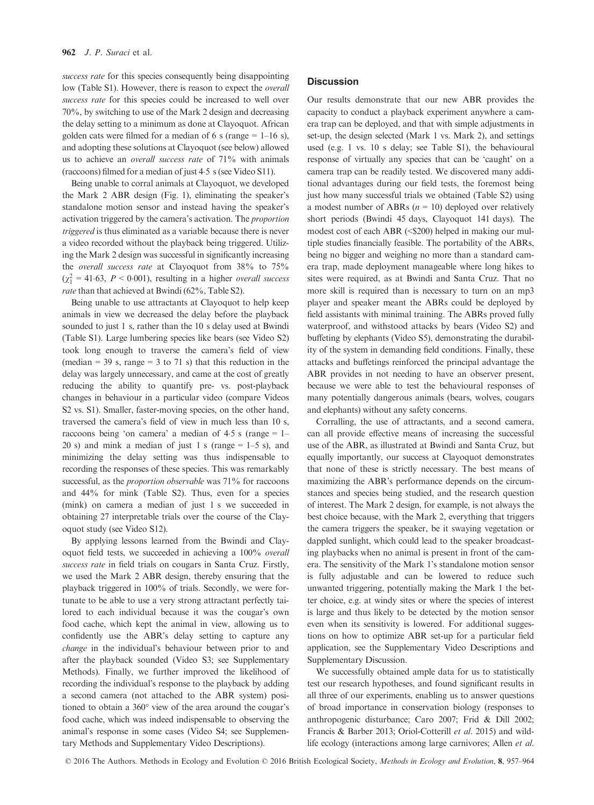success rate for this species consequently being disappointing low (Table S1). However, there is reason to expect the overall success rate for this species could be increased to well over 70%, by switching to use of the Mark 2 design and decreasing the delay setting to a minimum as done at Clayoquot. African golden cats were filmed for a median of 6 s (range  $= 1-16$  s), and adopting these solutions at Clayoquot (see below) allowed us to achieve an overall success rate of 71% with animals (raccoons) filmed for a median of just 45 s (see Video S11).

Being unable to corral animals at Clayoquot, we developed the Mark 2 ABR design (Fig. 1), eliminating the speaker's standalone motion sensor and instead having the speaker's activation triggered by the camera's activation. The proportion triggered is thus eliminated as a variable because there is never a video recorded without the playback being triggered. Utilizing the Mark 2 design was successful in significantly increasing the overall success rate at Clayoquot from 38% to 75%  $(\chi_1^2 = 41.63, P < 0.001)$ , resulting in a higher *overall success* rate than that achieved at Bwindi (62%, Table S2).

Being unable to use attractants at Clayoquot to help keep animals in view we decreased the delay before the playback sounded to just 1 s, rather than the 10 s delay used at Bwindi (Table S1). Large lumbering species like bears (see Video S2) took long enough to traverse the camera's field of view (median  $=$  39 s, range  $=$  3 to 71 s) that this reduction in the delay was largely unnecessary, and came at the cost of greatly reducing the ability to quantify pre- vs. post-playback changes in behaviour in a particular video (compare Videos S2 vs. S1). Smaller, faster-moving species, on the other hand, traversed the camera's field of view in much less than 10 s, raccoons being 'on camera' a median of  $4.5$  s (range  $= 1$ – 20 s) and mink a median of just 1 s (range  $= 1-5$  s), and minimizing the delay setting was thus indispensable to recording the responses of these species. This was remarkably successful, as the *proportion observable* was 71% for raccoons and 44% for mink (Table S2). Thus, even for a species (mink) on camera a median of just 1 s we succeeded in obtaining 27 interpretable trials over the course of the Clayoquot study (see Video S12).

By applying lessons learned from the Bwindi and Clayoquot field tests, we succeeded in achieving a 100% overall success rate in field trials on cougars in Santa Cruz. Firstly, we used the Mark 2 ABR design, thereby ensuring that the playback triggered in 100% of trials. Secondly, we were fortunate to be able to use a very strong attractant perfectly tailored to each individual because it was the cougar's own food cache, which kept the animal in view, allowing us to confidently use the ABR's delay setting to capture any change in the individual's behaviour between prior to and after the playback sounded (Video S3; see Supplementary Methods). Finally, we further improved the likelihood of recording the individual's response to the playback by adding a second camera (not attached to the ABR system) positioned to obtain a 360° view of the area around the cougar's food cache, which was indeed indispensable to observing the animal's response in some cases (Video S4; see Supplementary Methods and Supplementary Video Descriptions).

#### **Discussion**

Our results demonstrate that our new ABR provides the capacity to conduct a playback experiment anywhere a camera trap can be deployed, and that with simple adjustments in set-up, the design selected (Mark 1 vs. Mark 2), and settings used (e.g. 1 vs. 10 s delay; see Table S1), the behavioural response of virtually any species that can be 'caught' on a camera trap can be readily tested. We discovered many additional advantages during our field tests, the foremost being just how many successful trials we obtained (Table S2) using a modest number of ABRs  $(n = 10)$  deployed over relatively short periods (Bwindi 45 days, Clayoquot 141 days). The modest cost of each ABR (<\$200) helped in making our multiple studies financially feasible. The portability of the ABRs, being no bigger and weighing no more than a standard camera trap, made deployment manageable where long hikes to sites were required, as at Bwindi and Santa Cruz. That no more skill is required than is necessary to turn on an mp3 player and speaker meant the ABRs could be deployed by field assistants with minimal training. The ABRs proved fully waterproof, and withstood attacks by bears (Video S2) and buffeting by elephants (Video S5), demonstrating the durability of the system in demanding field conditions. Finally, these attacks and buffetings reinforced the principal advantage the ABR provides in not needing to have an observer present, because we were able to test the behavioural responses of many potentially dangerous animals (bears, wolves, cougars and elephants) without any safety concerns.

Corralling, the use of attractants, and a second camera, can all provide effective means of increasing the successful use of the ABR, as illustrated at Bwindi and Santa Cruz, but equally importantly, our success at Clayoquot demonstrates that none of these is strictly necessary. The best means of maximizing the ABR's performance depends on the circumstances and species being studied, and the research question of interest. The Mark 2 design, for example, is not always the best choice because, with the Mark 2, everything that triggers the camera triggers the speaker, be it swaying vegetation or dappled sunlight, which could lead to the speaker broadcasting playbacks when no animal is present in front of the camera. The sensitivity of the Mark 1's standalone motion sensor is fully adjustable and can be lowered to reduce such unwanted triggering, potentially making the Mark 1 the better choice, e.g. at windy sites or where the species of interest is large and thus likely to be detected by the motion sensor even when its sensitivity is lowered. For additional suggestions on how to optimize ABR set-up for a particular field application, see the Supplementary Video Descriptions and Supplementary Discussion.

We successfully obtained ample data for us to statistically test our research hypotheses, and found significant results in all three of our experiments, enabling us to answer questions of broad importance in conservation biology (responses to anthropogenic disturbance; Caro 2007; Frid & Dill 2002; Francis & Barber 2013; Oriol-Cotterill et al. 2015) and wildlife ecology (interactions among large carnivores; Allen et al.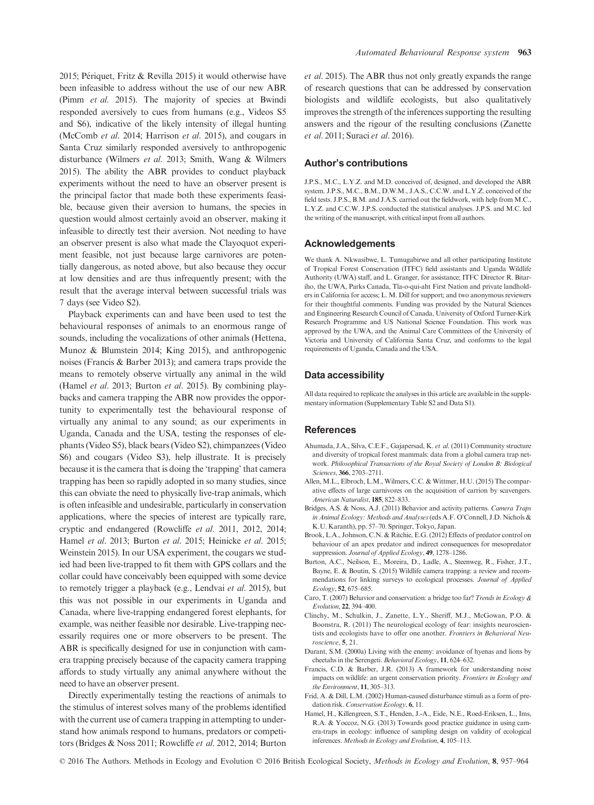2015; Périquet, Fritz & Revilla 2015) it would otherwise have been infeasible to address without the use of our new ABR (Pimm et al. 2015). The majority of species at Bwindi responded aversively to cues from humans (e.g., Videos S5 and S6), indicative of the likely intensity of illegal hunting (McComb et al. 2014; Harrison et al. 2015), and cougars in Santa Cruz similarly responded aversively to anthropogenic disturbance (Wilmers et al. 2013; Smith, Wang & Wilmers 2015). The ability the ABR provides to conduct playback experiments without the need to have an observer present is the principal factor that made both these experiments feasible, because given their aversion to humans, the species in question would almost certainly avoid an observer, making it infeasible to directly test their aversion. Not needing to have an observer present is also what made the Clayoquot experiment feasible, not just because large carnivores are potentially dangerous, as noted above, but also because they occur at low densities and are thus infrequently present; with the result that the average interval between successful trials was 7 days (see Video S2).

Playback experiments can and have been used to test the behavioural responses of animals to an enormous range of sounds, including the vocalizations of other animals (Hettena, Munoz & Blumstein 2014; King 2015), and anthropogenic noises (Francis & Barber 2013); and camera traps provide the means to remotely observe virtually any animal in the wild (Hamel et al. 2013; Burton et al. 2015). By combining playbacks and camera trapping the ABR now provides the opportunity to experimentally test the behavioural response of virtually any animal to any sound; as our experiments in Uganda, Canada and the USA, testing the responses of elephants (Video S5), black bears (Video S2), chimpanzees (Video S6) and cougars (Video S3), help illustrate. It is precisely because it is the camera that is doing the 'trapping' that camera trapping has been so rapidly adopted in so many studies, since this can obviate the need to physically live-trap animals, which is often infeasible and undesirable, particularly in conservation applications, where the species of interest are typically rare, cryptic and endangered (Rowcliffe et al. 2011, 2012, 2014; Hamel et al. 2013; Burton et al. 2015; Heinicke et al. 2015; Weinstein 2015). In our USA experiment, the cougars we studied had been live-trapped to fit them with GPS collars and the collar could have conceivably been equipped with some device to remotely trigger a playback (e.g., Lendvai et al. 2015), but this was not possible in our experiments in Uganda and Canada, where live-trapping endangered forest elephants, for example, was neither feasible nor desirable. Live-trapping necessarily requires one or more observers to be present. The ABR is specifically designed for use in conjunction with camera trapping precisely because of the capacity camera trapping affords to study virtually any animal anywhere without the need to have an observer present.

Directly experimentally testing the reactions of animals to the stimulus of interest solves many of the problems identified with the current use of camera trapping in attempting to understand how animals respond to humans, predators or competitors (Bridges & Noss 2011; Rowcliffe et al. 2012, 2014; Burton

et al. 2015). The ABR thus not only greatly expands the range of research questions that can be addressed by conservation biologists and wildlife ecologists, but also qualitatively improves the strength of the inferences supporting the resulting answers and the rigour of the resulting conclusions (Zanette et al. 2011; Suraci et al. 2016).

#### Author's contributions

J.P.S., M.C., L.Y.Z. and M.D. conceived of, designed, and developed the ABR system. J.P.S., M.C., B.M., D.W.M., J.A.S., C.C.W. and L.Y.Z. conceived of the field tests. J.P.S., B.M. and J.A.S. carried out the fieldwork, with help from M.C., L.Y.Z. and C.C.W. J.P.S. conducted the statistical analyses. J.P.S. and M.C. led the writing of the manuscript, with critical input from all authors.

#### Acknowledgements

We thank A. Nkwasibwe, L. Tumugabirwe and all other participating Institute of Tropical Forest Conservation (ITFC) field assistants and Uganda Wildlife Authority (UWA) staff, and L. Granger, for assistance; ITFC Director R. Bitariho, the UWA, Parks Canada, Tla-o-qui-aht First Nation and private landholders in California for access; L. M. Dill for support; and two anonymous reviewers for their thoughtful comments. Funding was provided by the Natural Sciences and Engineering Research Council of Canada, University of Oxford Turner-Kirk Research Programme and US National Science Foundation. This work was approved by the UWA, and the Animal Care Committees of the University of Victoria and University of California Santa Cruz, and conforms to the legal requirements of Uganda, Canada and the USA.

#### Data accessibility

All data required to replicate the analyses in this article are available in the supplementary information (Supplementary Table S2 and Data S1).

#### **References**

- Ahumada, J.A., Silva, C.E.F., Gajapersad, K. et al. (2011) Community structure and diversity of tropical forest mammals: data from a global camera trap network. Philosophical Transactions of the Royal Society of London B: Biological Sciences, 366, 2703-2711.
- Allen, M.L., Elbroch, L.M., Wilmers, C.C. & Wittmer, H.U. (2015) The comparative effects of large carnivores on the acquisition of carrion by scavengers. American Naturalist, 185, 822–833.
- Bridges, A.S. & Noss, A.J. (2011) Behavior and activity patterns. Camera Traps in Animal Ecology: Methods and Analyses(eds A.F. O'Connell, J.D. Nichols & K.U. Karanth), pp. 57–70. Springer, Tokyo, Japan.
- Brook, L.A., Johnson, C.N. & Ritchie, E.G. (2012) Effects of predator control on behaviour of an apex predator and indirect consequences for mesopredator suppression. Journal of Applied Ecology, 49, 1278-1286.
- Burton, A.C., Neilson, E., Moreira, D., Ladle, A., Steenweg, R., Fisher, J.T., Bayne, E. & Boutin, S. (2015) Wildlife camera trapping: a review and recommendations for linking surveys to ecological processes. Journal of Applied Ecology, 52, 675–685.
- Caro, T. (2007) Behavior and conservation: a bridge too far? Trends in Ecology & Evolution, 22, 394–400.
- Clinchy, M., Schulkin, J., Zanette, L.Y., Sheriff, M.J., McGowan, P.O. & Boonstra, R. (2011) The neurological ecology of fear: insights neuroscientists and ecologists have to offer one another. Frontiers in Behavioral Neuroscience, 5, 21.
- Durant, S.M. (2000a) Living with the enemy: avoidance of hyenas and lions by cheetahs in the Serengeti. Behavioral Ecology, 11, 624–632.
- Francis, C.D. & Barber, J.R. (2013) A framework for understanding noise impacts on wildlife: an urgent conservation priority. Frontiers in Ecology and the Environment, 11, 305–313.
- Frid, A. & Dill, L.M. (2002) Human-caused disturbance stimuli as a form of predation risk. Conservation Ecology, 6, 11.
- Hamel, H., Killengreen, S.T., Henden, J.-A., Eide, N.E., Roed-Eriksen, L., Ims, R.A. & Yoccoz, N.G. (2013) Towards good practice guidance in using camera-traps in ecology: influence of sampling design on validity of ecological inferences. Methods in Ecology and Evolution, 4, 105–113.